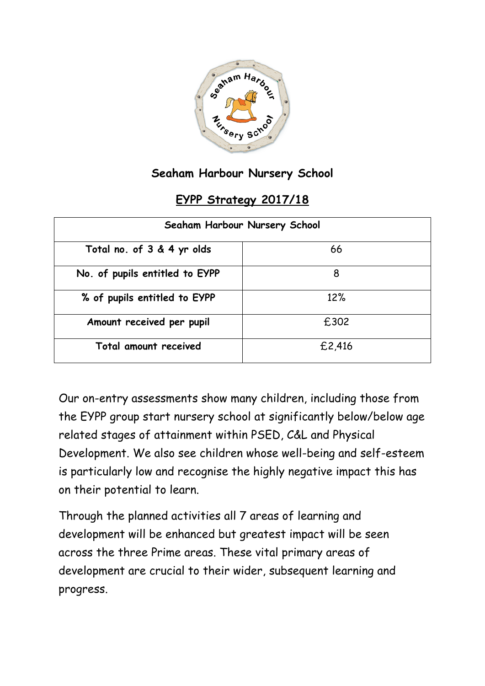

## **Seaham Harbour Nursery School**

## **EYPP Strategy 2017/18**

| Seaham Harbour Nursery School  |        |  |  |  |
|--------------------------------|--------|--|--|--|
| Total no. of 3 & 4 yr olds     | 66     |  |  |  |
| No. of pupils entitled to EYPP | 8      |  |  |  |
| % of pupils entitled to EYPP   | 12%    |  |  |  |
| Amount received per pupil      | £302   |  |  |  |
| Total amount received          | £2,416 |  |  |  |

Our on-entry assessments show many children, including those from the EYPP group start nursery school at significantly below/below age related stages of attainment within PSED, C&L and Physical Development. We also see children whose well-being and self-esteem is particularly low and recognise the highly negative impact this has on their potential to learn.

Through the planned activities all 7 areas of learning and development will be enhanced but greatest impact will be seen across the three Prime areas. These vital primary areas of development are crucial to their wider, subsequent learning and progress.